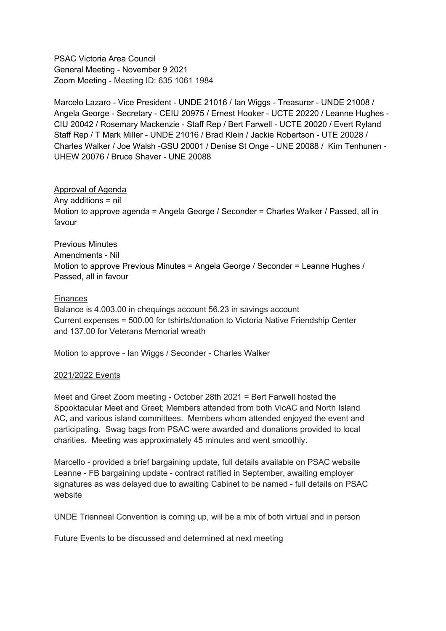PSAC Victoria Area Council General Meeting - November 9 2021 Zoom Meeting - Meeting ID: 635 1061 1984

Marcelo Lazaro - Vice President - UNDE 21016 / Ian Wiggs - Treasurer - UNDE 21008 / Angela George - Secretary - CEIU 20975 / Ernest Hooker - UCTE 20220 / Leanne Hughes - CIU 20042 / Rosemary Mackenzie - Staff Rep / Bert Farwell - UCTE 20020 / Evert Ryland Staff Rep / T Mark Miller - UNDE 21016 / Brad Klein / Jackie Robertson - UTE 20028 / Charles Walker / Joe Walsh -GSU 20001 / Denise St Onge - UNE 20088 / Kim Tenhunen - UHEW 20076 / Bruce Shaver - UNE 20088

## Approval of Agenda

Any additions = nil Motion to approve agenda = Angela George / Seconder = Charles Walker / Passed, all in favour

## Previous Minutes

Amendments - Nil Motion to approve Previous Minutes = Angela George / Seconder = Leanne Hughes / Passed, all in favour

# Finances

Balance is 4.003.00 in chequings account 56.23 in savings account Current expenses = 500.00 for tshirts/donation to Victoria Native Friendship Center and 137.00 for Veterans Memorial wreath

Motion to approve - Ian Wiggs / Seconder - Charles Walker

## 2021/2022 Events

Meet and Greet Zoom meeting - October 28th 2021 = Bert Farwell hosted the Spooktacular Meet and Greet; Members attended from both VicAC and North Island AC, and various island committees. Members whom attended enjoyed the event and participating. Swag bags from PSAC were awarded and donations provided to local charities. Meeting was approximately 45 minutes and went smoothly.

Marcello - provided a brief bargaining update, full details available on PSAC website Leanne - FB bargaining update - contract ratified in September, awaiting employer signatures as was delayed due to awaiting Cabinet to be named - full details on PSAC website

UNDE Trienneal Convention is coming up, will be a mix of both virtual and in person

Future Events to be discussed and determined at next meeting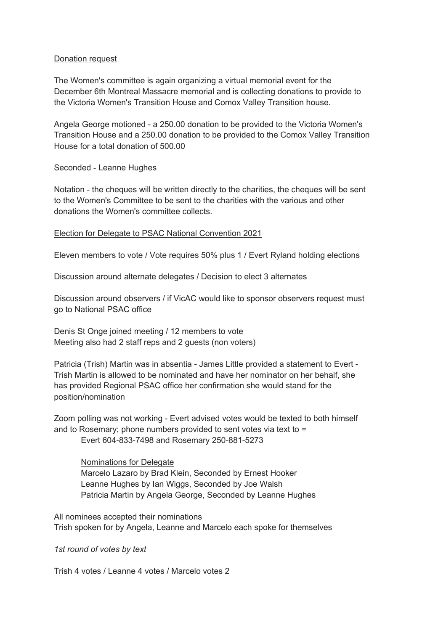#### Donation request

The Women's committee is again organizing a virtual memorial event for the December 6th Montreal Massacre memorial and is collecting donations to provide to the Victoria Women's Transition House and Comox Valley Transition house.

Angela George motioned - a 250.00 donation to be provided to the Victoria Women's Transition House and a 250.00 donation to be provided to the Comox Valley Transition House for a total donation of 500.00

Seconded - Leanne Hughes

Notation - the cheques will be written directly to the charities, the cheques will be sent to the Women's Committee to be sent to the charities with the various and other donations the Women's committee collects.

#### Election for Delegate to PSAC National Convention 2021

Eleven members to vote / Vote requires 50% plus 1 / Evert Ryland holding elections

Discussion around alternate delegates / Decision to elect 3 alternates

Discussion around observers / if VicAC would like to sponsor observers request must go to National PSAC office

Denis St Onge joined meeting / 12 members to vote Meeting also had 2 staff reps and 2 quests (non voters)

Patricia (Trish) Martin was in absentia - James Little provided a statement to Evert - Trish Martin is allowed to be nominated and have her nominator on her behalf, she has provided Regional PSAC office her confirmation she would stand for the position/nomination

Zoom polling was not working - Evert advised votes would be texted to both himself and to Rosemary; phone numbers provided to sent votes via text to = Evert 604-833-7498 and Rosemary 250-881-5273

Nominations for Delegate Marcelo Lazaro by Brad Klein, Seconded by Ernest Hooker Leanne Hughes by Ian Wiggs, Seconded by Joe Walsh Patricia Martin by Angela George, Seconded by Leanne Hughes

All nominees accepted their nominations Trish spoken for by Angela, Leanne and Marcelo each spoke for themselves

*1st round of votes by text*

Trish 4 votes / Leanne 4 votes / Marcelo votes 2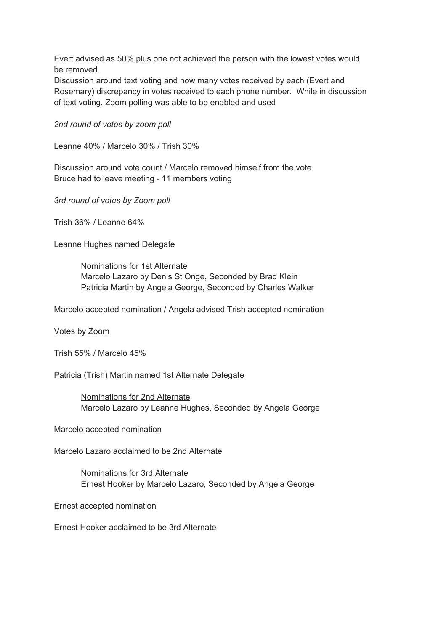Evert advised as 50% plus one not achieved the person with the lowest votes would be removed.

Discussion around text voting and how many votes received by each (Evert and Rosemary) discrepancy in votes received to each phone number. While in discussion of text voting, Zoom polling was able to be enabled and used

*2nd round of votes by zoom poll*

Leanne 40% / Marcelo 30% / Trish 30%

Discussion around vote count / Marcelo removed himself from the vote Bruce had to leave meeting - 11 members voting

*3rd round of votes by Zoom poll*

Trish 36% / Leanne 64%

Leanne Hughes named Delegate

Nominations for 1st Alternate Marcelo Lazaro by Denis St Onge, Seconded by Brad Klein Patricia Martin by Angela George, Seconded by Charles Walker

Marcelo accepted nomination / Angela advised Trish accepted nomination

Votes by Zoom

Trish 55% / Marcelo 45%

Patricia (Trish) Martin named 1st Alternate Delegate

Nominations for 2nd Alternate Marcelo Lazaro by Leanne Hughes, Seconded by Angela George

Marcelo accepted nomination

Marcelo Lazaro acclaimed to be 2nd Alternate

Nominations for 3rd Alternate Ernest Hooker by Marcelo Lazaro, Seconded by Angela George

Ernest accepted nomination

Ernest Hooker acclaimed to be 3rd Alternate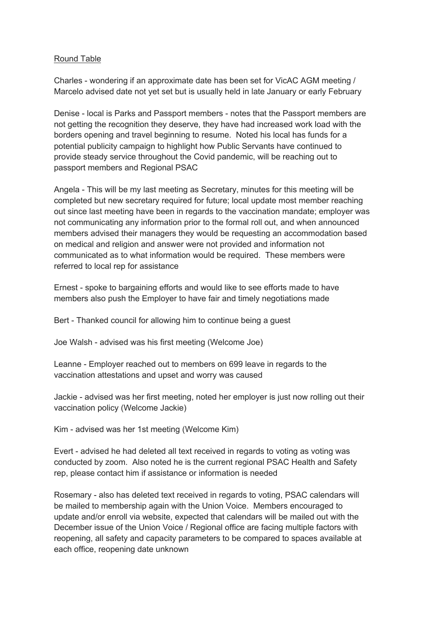### Round Table

Charles - wondering if an approximate date has been set for VicAC AGM meeting / Marcelo advised date not yet set but is usually held in late January or early February

Denise - local is Parks and Passport members - notes that the Passport members are not getting the recognition they deserve, they have had increased work load with the borders opening and travel beginning to resume. Noted his local has funds for a potential publicity campaign to highlight how Public Servants have continued to provide steady service throughout the Covid pandemic, will be reaching out to passport members and Regional PSAC

Angela - This will be my last meeting as Secretary, minutes for this meeting will be completed but new secretary required for future; local update most member reaching out since last meeting have been in regards to the vaccination mandate; employer was not communicating any information prior to the formal roll out, and when announced members advised their managers they would be requesting an accommodation based on medical and religion and answer were not provided and information not communicated as to what information would be required. These members were referred to local rep for assistance

Ernest - spoke to bargaining efforts and would like to see efforts made to have members also push the Employer to have fair and timely negotiations made

Bert - Thanked council for allowing him to continue being a guest

Joe Walsh - advised was his first meeting (Welcome Joe)

Leanne - Employer reached out to members on 699 leave in regards to the vaccination attestations and upset and worry was caused

Jackie - advised was her first meeting, noted her employer is just now rolling out their vaccination policy (Welcome Jackie)

Kim - advised was her 1st meeting (Welcome Kim)

Evert - advised he had deleted all text received in regards to voting as voting was conducted by zoom. Also noted he is the current regional PSAC Health and Safety rep, please contact him if assistance or information is needed

Rosemary - also has deleted text received in regards to voting, PSAC calendars will be mailed to membership again with the Union Voice. Members encouraged to update and/or enroll via website, expected that calendars will be mailed out with the December issue of the Union Voice / Regional office are facing multiple factors with reopening, all safety and capacity parameters to be compared to spaces available at each office, reopening date unknown